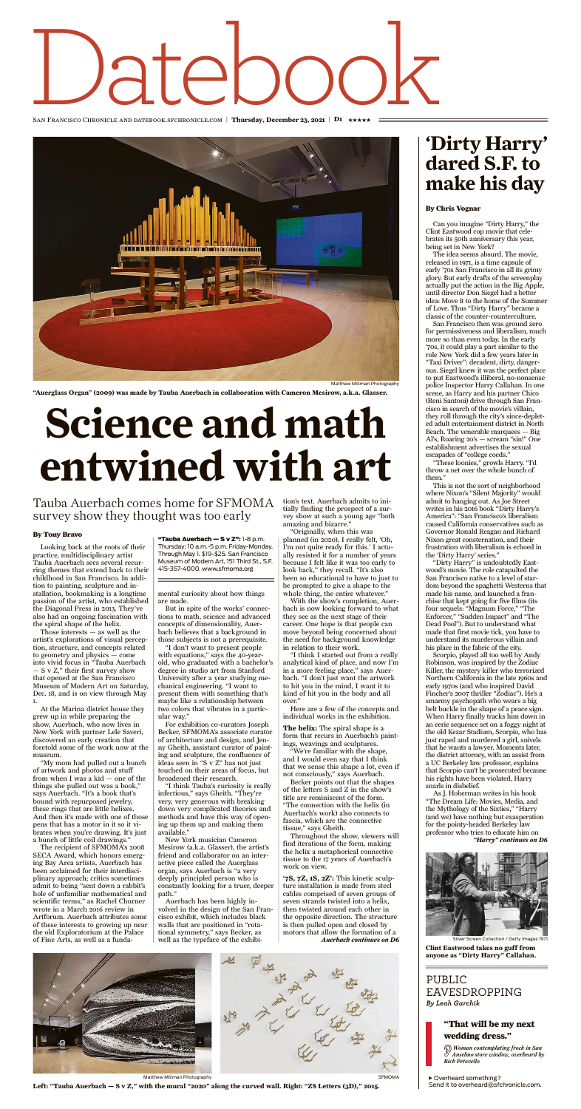# SAN FRANCISCO CHRONICLE AND DATEBOOK.STCHRONICLE.COM | Thursday, Decen  $\rm{O}\,\rm{C}$

San Francisco Chronicle and datebook.sfchronicle.com | **Thursday, December 23, 2021 | D1** \*\*\*\*\*



Looking back at the roots of their practice, multidisciplinary artist Tauba Auerbach sees several recurring themes that extend back to their childhood in San Francisco. In addition to painting, sculpture and installation, bookmaking is a longtime passion of the artist, who established the Diagonal Press in 2013. They've also had an ongoing fascination with the spiral shape of the helix.

Those interests  $-$  as well as the artist's explorations of visual perception, structure, and concepts related to geometry and physics — come

into vivid focus in "Tauba Auerbach  $- S v Z$ ," their first survey show that opened at the San Francisco Museum of Modern Art on Saturday, Dec. 18, and is on view through May 1.

At the Marina district house they grew up in while preparing the show, Auerbach, who now lives in New York with partner Lele Saveri, discovered an early creation that foretold some of the work now at the museum.

"My mom had pulled out a bunch of artwork and photos and stuff from when I was a kid — one of the things she pulled out was a book," says Auerbach. "It's a book that's bound with repurposed jewelry, these rings that are little helixes. And then it's made with one of those pens that has a motor in it so it vibrates when you're drawing. It's just a bunch of little coil drawings."

The recipient of SFMOMA's 2008 SECA Award, which honors emerging Bay Area artists, Auerbach has been acclaimed for their interdisciplinary approach; critics sometimes admit to being "sent down a rabbit's hole of unfamiliar mathematical and scientific terms," as Rachel Churner wrote in a March 2016 review in Artforum. Auerbach attributes some of these interests to growing up near the old Exploratorium at the Palace of Fine Arts, as well as a funda-

"Originally, when this was planned (in 2020), I really felt, 'Oh, I'm not quite ready for this.' I actually resisted it for a number of years because I felt like it was too early to look back," they recall. "It's also been so educational to have to just to be prompted to give a shape to the whole thing, the entire whatever.'

mental curiosity about how things are made.

But in spite of the works' connections to math, science and advanced concepts of dimensionality, Auerbach believes that a background in those subjects is not a prerequisite. "I don't want to present people

with equations," says the 40-yearold, who graduated with a bachelor's degree in studio art from Stanford University after a year studying mechanical engineering. "I want to present them with something that's maybe like a relationship between two colors that vibrates in a particular way." For exhibition co-curators Joseph Becker, SFMOMA's associate curator of architecture and design, and Jenny Gheith, assistant curator of painting and sculpture, the confluence of ideas seen in "S v Z" has not just touched on their areas of focus, but broadened their research. "I think Tauba's curiosity is really infectious," says Gheith. "They're very, very generous with breaking down very complicated theories and methods and have this way of opening up them up and making them available." New York musician Cameron Mesirow (a.k.a. Glasser), the artist's friend and collaborator on an interactive piece called the Auerglass organ, says Auerbach is "a very deeply principled person who is constantly looking for a truer, deeper path." Auerbach has been highly involved in the design of the San Francisco exhibit, which includes black walls that are positioned in "rotational symmetry," says Becker, as well as the typeface of the exhibi-

"Tauba Auerbach - S v Z": 1-8 p.m. Thursday; 10 a.m.-5 p.m. Friday-Monday. Through May 1. \$19-\$25. San Francisco Museum of Modern Art, 151 Third St., S.F. 415-357-4000. www.sfmoma.org

tion's text. Auerbach admits to initially finding the prospect of a survey show at such a young age "both amazing and bizarre."

With the show's completion, Auerbach is now looking forward to what they see as the next stage of their career. One hope is that people can move beyond being concerned about the need for background knowledge in relation to their work.

"I think I started out from a really

analytical kind of place, and now I'm in a more feeling place," says Auerbach. "I don't just want the artwork to hit you in the mind, I want it to kind of hit you in the body and all over."

Here are a few of the concepts and individual works in the exhibition.

**The helix:** The spiral shape is a form that recurs in Auerbach's paintings, weavings and sculptures.

"We're familiar with the shape, and I would even say that I think that we sense this shape a lot, even if not consciously," says Auerbach.

Becker points out that the shapes of the letters S and Z in the show's title are reminiscent of the form. "The connection with the helix (in Auerbach's work) also connects to fascia, which are the connective tissue," says Gheith.

Throughout the show, viewers will find iterations of the form, making the helix a metaphorical connective tissue to the 17 years of Auerbach's work on view.

## **Science and math entwined with art**

### Tauba Auerbach comes home for SFMOMA survey show they thought was too early

#### By Tony Bravo

Matthew Millman Photography

**'7S, 7Z, 1S, 2Z':** This kinetic sculpture installation is made from steel cables comprised of seven groups of seven strands twisted into a helix, then twisted around each other in the opposite direction. The structure is then pulled open and closed by motors that allow the formation of a *Auerbach continues on D6*

**SFMOMA** 



ver Screen Collection / Getty Images 1971

**"Auerglass Organ" (2009) was made by Tauba Auerbach in collaboration with Cameron Mesirow, a.k.a. Glasser.**



Matthew Millman Photography

**Left: "Tauba Auerbach — S v Z," with the mural "2020" along the curved wall. Right: "ZS Letters (3D)," 2015.**

Can you imagine "Dirty Harry," the Clint Eastwood cop movie that celebrates its 50th anniversary this year, being set in New York?

The idea seems absurd. The movie, released in 1971, is a time capsule of early '70s San Francisco in all its grimy glory. But early drafts of the screenplay actually put the action in the Big Apple, until director Don Siegel had a better idea: Move it to the home of the Summer of Love. Thus "Dirty Harry" became a classic of the counter-counterculture.

San Francisco then was ground zero for permissiveness and liberalism, much more so than even today. In the early '70s, it could play a part similar to the role New York did a few years later in "Taxi Driver": decadent, dirty, dangerous. Siegel knew it was the perfect place to put Eastwood's illiberal, no-nonsense police Inspector Harry Callahan. In one scene, as Harry and his partner Chico (Reni Santoni) drive through San Francisco in search of the movie's villain, they roll through the city's since-depleted adult entertainment district in North Beach. The venerable marquees — Big Al's, Roaring 20's — scream "sin!" One establishment advertises the sexual escapades of "college coeds."

"These loonies," growls Harry. "I'd throw a net over the whole bunch of them."

This is not the sort of neighborhood where Nixon's "Silent Majority" would admit to hanging out. As Joe Street writes in his 2016 book "Dirty Harry's America": "San Francisco's liberalism caused California conservatives such as Governor Ronald Reagan and Richard Nixon great consternation, and their frustration with liberalism is echoed in the 'Dirty Harry' series."

"Dirty Harry" is undoubtedly Eastwood's movie. The role catapulted the San Francisco native to a level of stardom beyond the spaghetti Westerns that made his name, and launched a franchise that kept going for five films (its four sequels: "Magnum Force," "The Enforcer," "Sudden Impact" and "The Dead Pool"). But to understand what made that first movie tick, you have to understand its murderous villain and his place in the fabric of the city.

Scorpio, played all too well by Andy Robinson, was inspired by the Zodiac Killer, the mystery killer who terrorized Northern California in the late 1960s and early 1970s (and who inspired David Fincher's 2007 thriller "Zodiac"). He's a smarmy psychopath who wears a big belt buckle in the shape of a peace sign. When Harry finally tracks him down in an eerie sequence set on a foggy night at the old Kezar Stadium, Scorpio, who has just raped and murdered a girl, snivels that he wants a lawyer. Moments later, the district attorney, with an assist from a UC Berkeley law professor, explains that Scorpio can't be prosecuted because his rights have been violated. Harry snarls in disbelief. As J. Hoberman writes in his book "The Dream Life: Movies, Media, and the Mythology of the Sixties," "Harry (and we) have nothing but exasperation for the pointy-headed Berkeley law professor who tries to educate him on *"Harry" continues on D6*

## **'Dirty Harry' dared S.F. to make his day**

#### By Chris Vognar

**Clint Eastwood takes no guff from anyone as "Dirty Harry" Callahan.**

#### PUBLIC EAVESDROPPING *By Leah Garchik*

#### "That will be my next wedding dress."

H *Woman contemplating frock in San Anselmo store window, overheard by Rich Petovello*

> Overheard something? Send it to overheard@sfchronicle.com.